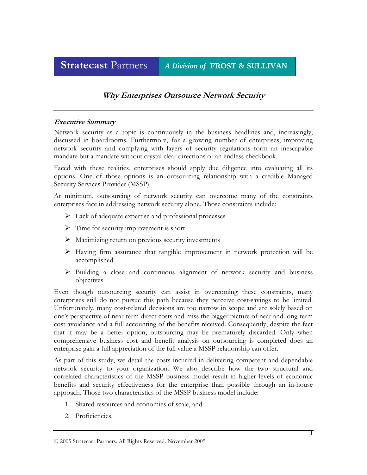# **Stratecast** Partners *A Division of* **FROST & SULLIVAN**

## **Why Enterprises Outsource Network Security**

#### **Executive Summary**

Network security as a topic is continuously in the business headlines and, increasingly, discussed in boardrooms. Furthermore, for a growing number of enterprises, improving network security and complying with layers of security regulations form an inescapable mandate but a mandate without crystal clear directions or an endless checkbook.

Faced with these realities, enterprises should apply due diligence into evaluating all its options. One of those options is an outsourcing relationship with a credible Managed Security Services Provider (MSSP).

At minimum, outsourcing of network security can overcome many of the constraints enterprises face in addressing network security alone. Those constraints include:

- $\triangleright$  Lack of adequate expertise and professional processes
- $\triangleright$  Time for security improvement is short
- $\triangleright$  Maximizing return on previous security investments
- $\triangleright$  Having firm assurance that tangible improvement in network protection will be accomplished
- $\triangleright$  Building a close and continuous alignment of network security and business objectives

Even though outsourcing security can assist in overcoming these constraints, many enterprises still do not pursue this path because they perceive cost-savings to be limited. Unfortunately, many cost-related decisions are too narrow in scope and are solely based on one's perspective of near-term direct costs and miss the bigger picture of near and long-term cost avoidance and a full accounting of the benefits received. Consequently, despite the fact that it may be a better option, outsourcing may be prematurely discarded. Only when comprehensive business cost and benefit analysis on outsourcing is completed does an enterprise gain a full appreciation of the full value a MSSP relationship can offer.

As part of this study, we detail the costs incurred in delivering competent and dependable network security to your organization. We also describe how the two structural and correlated characteristics of the MSSP business model result in higher levels of economic benefits and security effectiveness for the enterprise than possible through an in-house approach. Those two characteristics of the MSSP business model include:

- 1. Shared resources and economies of scale, and
- 2. Proficiencies.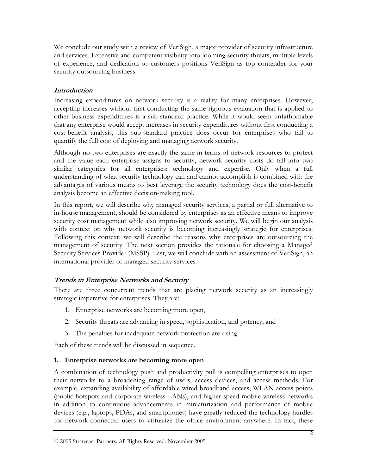We conclude our study with a review of VeriSign, a major provider of security infrastructure and services. Extensive and competent visibility into looming security threats, multiple levels of experience, and dedication to customers positions VeriSign as top contender for your security outsourcing business.

## **Introduction**

Increasing expenditures on network security is a reality for many enterprises. However, accepting increases without first conducting the same rigorous evaluation that is applied to other business expenditures is a sub-standard practice. While it would seem unfathomable that any enterprise would accept increases in security expenditures without first conducting a cost-benefit analysis, this sub-standard practice does occur for enterprises who fail to quantify the full cost of deploying and managing network security.

Although no two enterprises are exactly the same in terms of network resources to protect and the value each enterprise assigns to security, network security costs do fall into two similar categories for all enterprises: technology and expertise. Only when a full understanding of what security technology can and cannot accomplish is combined with the advantages of various means to best leverage the security technology does the cost-benefit analysis become an effective decision-making tool.

In this report, we will describe why managed security services, a partial or full alternative to in-house management, should be considered by enterprises as an effective means to improve security cost management while also improving network security. We will begin our analysis with context on why network security is becoming increasingly strategic for enterprises. Following this context, we will describe the reasons why enterprises are outsourcing the management of security. The next section provides the rationale for choosing a Managed Security Services Provider (MSSP). Last, we will conclude with an assessment of VeriSign, an international provider of managed security services.

## **Trends in Enterprise Networks and Security**

There are three concurrent trends that are placing network security as an increasingly strategic imperative for enterprises. They are:

- 1. Enterprise networks are becoming more open,
- 2. Security threats are advancing in speed, sophistication, and potency, and
- 3. The penalties for inadequate network protection are rising.

Each of these trends will be discussed in sequence.

#### **1. Enterprise networks are becoming more open**

A combination of technology push and productivity pull is compelling enterprises to open their networks to a broadening range of users, access devices, and access methods. For example, expanding availability of affordable wired broadband access, WLAN access points (public hotspots and corporate wireless LANs), and higher speed mobile wireless networks in addition to continuous advancements in miniaturization and performance of mobile devices (e.g., laptops, PDAs, and smartphones) have greatly reduced the technology hurdles for network-connected users to virtualize the office environment anywhere. In fact, these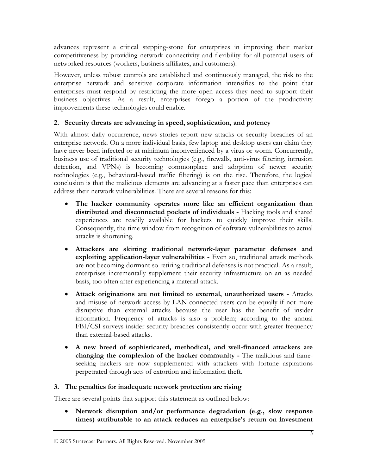advances represent a critical stepping-stone for enterprises in improving their market competitiveness by providing network connectivity and flexibility for all potential users of networked resources (workers, business affiliates, and customers).

However, unless robust controls are established and continuously managed, the risk to the enterprise network and sensitive corporate information intensifies to the point that enterprises must respond by restricting the more open access they need to support their business objectives. As a result, enterprises forego a portion of the productivity improvements these technologies could enable.

## **2. Security threats are advancing in speed, sophistication, and potency**

With almost daily occurrence, news stories report new attacks or security breaches of an enterprise network. On a more individual basis, few laptop and desktop users can claim they have never been infected or at minimum inconvenienced by a virus or worm. Concurrently, business use of traditional security technologies (e.g., firewalls, anti-virus filtering, intrusion detection, and VPNs) is becoming commonplace and adoption of newer security technologies (e.g., behavioral-based traffic filtering) is on the rise. Therefore, the logical conclusion is that the malicious elements are advancing at a faster pace than enterprises can address their network vulnerabilities. There are several reasons for this:

- **The hacker community operates more like an efficient organization than distributed and disconnected pockets of individuals -** Hacking tools and shared experiences are readily available for hackers to quickly improve their skills. Consequently, the time window from recognition of software vulnerabilities to actual attacks is shortening.
- **Attackers are skirting traditional network-layer parameter defenses and exploiting application-layer vulnerabilities -** Even so, traditional attack methods are not becoming dormant so retiring traditional defenses is not practical. As a result, enterprises incrementally supplement their security infrastructure on an as needed basis, too often after experiencing a material attack.
- **Attack originations are not limited to external, unauthorized users -** Attacks and misuse of network access by LAN-connected users can be equally if not more disruptive than external attacks because the user has the benefit of insider information. Frequency of attacks is also a problem; according to the annual FBI/CSI surveys insider security breaches consistently occur with greater frequency than external-based attacks.
- **A new breed of sophisticated, methodical, and well-financed attackers are changing the complexion of the hacker community -** The malicious and fameseeking hackers are now supplemented with attackers with fortune aspirations perpetrated through acts of extortion and information theft.

## **3. The penalties for inadequate network protection are rising**

There are several points that support this statement as outlined below:

• **Network disruption and/or performance degradation (e.g., slow response times) attributable to an attack reduces an enterprise's return on investment**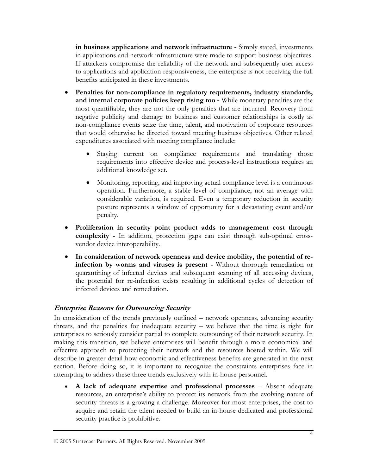**in business applications and network infrastructure -** Simply stated, investments in applications and network infrastructure were made to support business objectives. If attackers compromise the reliability of the network and subsequently user access to applications and application responsiveness, the enterprise is not receiving the full benefits anticipated in these investments.

- **Penalties for non-compliance in regulatory requirements, industry standards, and internal corporate policies keep rising too -** While monetary penalties are the most quantifiable, they are not the only penalties that are incurred. Recovery from negative publicity and damage to business and customer relationships is costly as non-compliance events seize the time, talent, and motivation of corporate resources that would otherwise be directed toward meeting business objectives. Other related expenditures associated with meeting compliance include:
	- Staying current on compliance requirements and translating those requirements into effective device and process-level instructions requires an additional knowledge set.
	- Monitoring, reporting, and improving actual compliance level is a continuous operation. Furthermore, a stable level of compliance, not an average with considerable variation, is required. Even a temporary reduction in security posture represents a window of opportunity for a devastating event and/or penalty.
- **Proliferation in security point product adds to management cost through complexity -** In addition, protection gaps can exist through sub-optimal crossvendor device interoperability.
- **In consideration of network openness and device mobility, the potential of reinfection by worms and viruses is present -** Without thorough remediation or quarantining of infected devices and subsequent scanning of all accessing devices, the potential for re-infection exists resulting in additional cycles of detection of infected devices and remediation.

## **Enterprise Reasons for Outsourcing Security**

In consideration of the trends previously outlined – network openness, advancing security threats, and the penalties for inadequate security – we believe that the time is right for enterprises to seriously consider partial to complete outsourcing of their network security. In making this transition, we believe enterprises will benefit through a more economical and effective approach to protecting their network and the resources hosted within. We will describe in greater detail how economic and effectiveness benefits are generated in the next section. Before doing so, it is important to recognize the constraints enterprises face in attempting to address these three trends exclusively with in-house personnel.

• **A lack of adequate expertise and professional processes** – Absent adequate resources, an enterprise's ability to protect its network from the evolving nature of security threats is a growing a challenge. Moreover for most enterprises, the cost to acquire and retain the talent needed to build an in-house dedicated and professional security practice is prohibitive.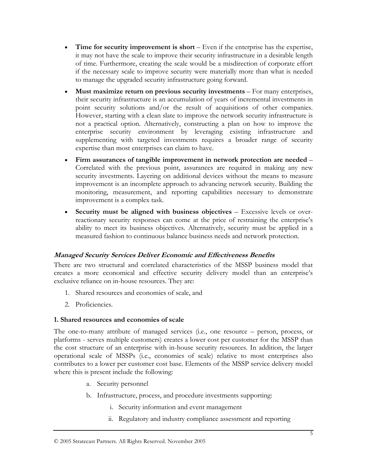- **Time for security improvement is short** Even if the enterprise has the expertise, it may not have the scale to improve their security infrastructure in a desirable length of time. Furthermore, creating the scale would be a misdirection of corporate effort if the necessary scale to improve security were materially more than what is needed to manage the upgraded security infrastructure going forward.
- **Must maximize return on previous security investments** For many enterprises, their security infrastructure is an accumulation of years of incremental investments in point security solutions and/or the result of acquisitions of other companies. However, starting with a clean slate to improve the network security infrastructure is not a practical option. Alternatively, constructing a plan on how to improve the enterprise security environment by leveraging existing infrastructure and supplementing with targeted investments requires a broader range of security expertise than most enterprises can claim to have.
- **Firm assurances of tangible improvement in network protection are needed** Correlated with the previous point, assurances are required in making any new security investments. Layering on additional devices without the means to measure improvement is an incomplete approach to advancing network security. Building the monitoring, measurement, and reporting capabilities necessary to demonstrate improvement is a complex task.
- **Security must be aligned with business objectives** Excessive levels or overreactionary security responses can come at the price of restraining the enterprise's ability to meet its business objectives. Alternatively, security must be applied in a measured fashion to continuous balance business needs and network protection.

## **Managed Security Services Deliver Economic and Effectiveness Benefits**

There are two structural and correlated characteristics of the MSSP business model that creates a more economical and effective security delivery model than an enterprise's exclusive reliance on in-house resources. They are:

- 1. Shared resources and economies of scale, and
- 2. Proficiencies.

#### **1. Shared resources and economies of scale**

The one-to-many attribute of managed services (i.e., one resource – person, process, or platforms - serves multiple customers) creates a lower cost per customer for the MSSP than the cost structure of an enterprise with in-house security resources. In addition, the larger operational scale of MSSPs (i.e., economies of scale) relative to most enterprises also contributes to a lower per customer cost base. Elements of the MSSP service delivery model where this is present include the following:

- a. Security personnel
- b. Infrastructure, process, and procedure investments supporting:
	- i. Security information and event management
	- ii. Regulatory and industry compliance assessment and reporting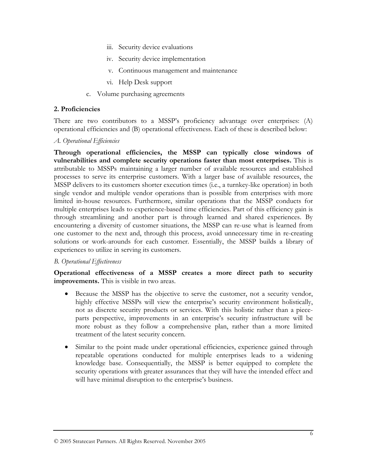- iii. Security device evaluations
- iv. Security device implementation
- v. Continuous management and maintenance
- vi. Help Desk support
- c. Volume purchasing agreements

#### **2. Proficiencies**

There are two contributors to a MSSP's proficiency advantage over enterprises: (A) operational efficiencies and (B) operational effectiveness. Each of these is described below:

#### *A. Operational Efficiencies*

**Through operational efficiencies, the MSSP can typically close windows of vulnerabilities and complete security operations faster than most enterprises.** This is attributable to MSSPs maintaining a larger number of available resources and established processes to serve its enterprise customers. With a larger base of available resources, the MSSP delivers to its customers shorter execution times (i.e., a turnkey-like operation) in both single vendor and multiple vendor operations than is possible from enterprises with more limited in-house resources. Furthermore, similar operations that the MSSP conducts for multiple enterprises leads to experience-based time efficiencies. Part of this efficiency gain is through streamlining and another part is through learned and shared experiences. By encountering a diversity of customer situations, the MSSP can re-use what is learned from one customer to the next and, through this process, avoid unnecessary time in re-creating solutions or work-arounds for each customer. Essentially, the MSSP builds a library of experiences to utilize in serving its customers.

#### *B. Operational Effectiveness*

**Operational effectiveness of a MSSP creates a more direct path to security improvements.** This is visible in two areas.

- Because the MSSP has the objective to serve the customer, not a security vendor, highly effective MSSPs will view the enterprise's security environment holistically, not as discrete security products or services. With this holistic rather than a pieceparts perspective, improvements in an enterprise's security infrastructure will be more robust as they follow a comprehensive plan, rather than a more limited treatment of the latest security concern.
- Similar to the point made under operational efficiencies, experience gained through repeatable operations conducted for multiple enterprises leads to a widening knowledge base. Consequentially, the MSSP is better equipped to complete the security operations with greater assurances that they will have the intended effect and will have minimal disruption to the enterprise's business.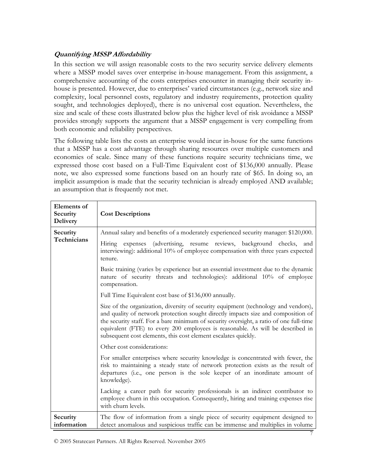## **Quantifying MSSP Affordability**

In this section we will assign reasonable costs to the two security service delivery elements where a MSSP model saves over enterprise in-house management. From this assignment, a comprehensive accounting of the costs enterprises encounter in managing their security inhouse is presented. However, due to enterprises' varied circumstances (e.g., network size and complexity, local personnel costs, regulatory and industry requirements, protection quality sought, and technologies deployed), there is no universal cost equation. Nevertheless, the size and scale of these costs illustrated below plus the higher level of risk avoidance a MSSP provides strongly supports the argument that a MSSP engagement is very compelling from both economic and reliability perspectives.

The following table lists the costs an enterprise would incur in-house for the same functions that a MSSP has a cost advantage through sharing resources over multiple customers and economies of scale. Since many of these functions require security technicians time, we expressed those cost based on a Full-Time Equivalent cost of \$136,000 annually. Please note, we also expressed some functions based on an hourly rate of \$65. In doing so, an implicit assumption is made that the security technician is already employed AND available; an assumption that is frequently not met.

| Elements of<br>Security<br><b>Delivery</b> | <b>Cost Descriptions</b>                                                                                                                                                                                                                                                                                                                                                                                               |
|--------------------------------------------|------------------------------------------------------------------------------------------------------------------------------------------------------------------------------------------------------------------------------------------------------------------------------------------------------------------------------------------------------------------------------------------------------------------------|
| Security<br>Technicians                    | Annual salary and benefits of a moderately experienced security manager: \$120,000.<br>expenses (advertising, resume reviews, background checks, and<br>Hiring                                                                                                                                                                                                                                                         |
|                                            | interviewing): additional 10% of employee compensation with three years expected<br>tenure.                                                                                                                                                                                                                                                                                                                            |
|                                            | Basic training (varies by experience but an essential investment due to the dynamic<br>nature of security threats and technologies): additional 10% of employee<br>compensation.                                                                                                                                                                                                                                       |
|                                            | Full Time Equivalent cost base of \$136,000 annually.                                                                                                                                                                                                                                                                                                                                                                  |
|                                            | Size of the organization, diversity of security equipment (technology and vendors),<br>and quality of network protection sought directly impacts size and composition of<br>the security staff. For a bare minimum of security oversight, a ratio of one full-time<br>equivalent (FTE) to every 200 employees is reasonable. As will be described in<br>subsequent cost elements, this cost element escalates quickly. |
|                                            | Other cost considerations:                                                                                                                                                                                                                                                                                                                                                                                             |
|                                            | For smaller enterprises where security knowledge is concentrated with fewer, the<br>risk to maintaining a steady state of network protection exists as the result of<br>departures (i.e., one person is the sole keeper of an inordinate amount of<br>knowledge).                                                                                                                                                      |
|                                            | Lacking a career path for security professionals is an indirect contributor to<br>employee churn in this occupation. Consequently, hiring and training expenses rise<br>with churn levels.                                                                                                                                                                                                                             |
| Security<br>information                    | The flow of information from a single piece of security equipment designed to<br>detect anomalous and suspicious traffic can be immense and multiplies in volume                                                                                                                                                                                                                                                       |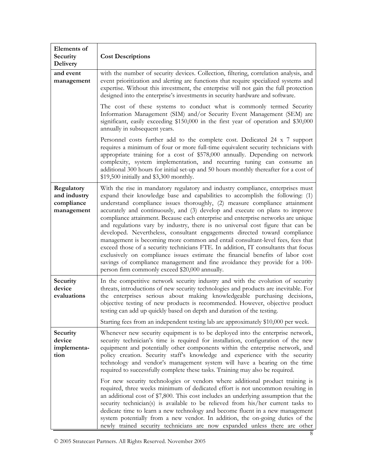| <b>Elements</b> of<br>Security<br><b>Delivery</b>      | <b>Cost Descriptions</b>                                                                                                                                                                                                                                                                                                                                                                                                                                                                                                                                                                                                                                                                                                                                                                                                                                                                                                                                                        |  |
|--------------------------------------------------------|---------------------------------------------------------------------------------------------------------------------------------------------------------------------------------------------------------------------------------------------------------------------------------------------------------------------------------------------------------------------------------------------------------------------------------------------------------------------------------------------------------------------------------------------------------------------------------------------------------------------------------------------------------------------------------------------------------------------------------------------------------------------------------------------------------------------------------------------------------------------------------------------------------------------------------------------------------------------------------|--|
| and event<br>management                                | with the number of security devices. Collection, filtering, correlation analysis, and<br>event prioritization and alerting are functions that require specialized systems and<br>expertise. Without this investment, the enterprise will not gain the full protection<br>designed into the enterprise's investments in security hardware and software.                                                                                                                                                                                                                                                                                                                                                                                                                                                                                                                                                                                                                          |  |
|                                                        | The cost of these systems to conduct what is commonly termed Security<br>Information Management (SIM) and/or Security Event Management (SEM) are<br>significant, easily exceeding \$150,000 in the first year of operation and \$30,000<br>annually in subsequent years.                                                                                                                                                                                                                                                                                                                                                                                                                                                                                                                                                                                                                                                                                                        |  |
|                                                        | Personnel costs further add to the complete cost. Dedicated 24 x 7 support<br>requires a minimum of four or more full-time equivalent security technicians with<br>appropriate training for a cost of \$578,000 annually. Depending on network<br>complexity, system implementation, and recurring tuning can consume an<br>additional 300 hours for initial set-up and 50 hours monthly thereafter for a cost of<br>\$19,500 initially and \$3,300 monthly.                                                                                                                                                                                                                                                                                                                                                                                                                                                                                                                    |  |
| Regulatory<br>and industry<br>compliance<br>management | With the rise in mandatory regulatory and industry compliance, enterprises must<br>expand their knowledge base and capabilities to accomplish the following: (1)<br>understand compliance issues thoroughly, (2) measure compliance attainment<br>accurately and continuously, and (3) develop and execute on plans to improve<br>compliance attainment. Because each enterprise and enterprise networks are unique<br>and regulations vary by industry, there is no universal cost figure that can be<br>developed. Nevertheless, consultant engagements directed toward compliance<br>management is becoming more common and entail consultant-level fees, fees that<br>exceed those of a security technicians FTE. In addition, IT consultants that focus<br>exclusively on compliance issues estimate the financial benefits of labor cost<br>savings of compliance management and fine avoidance they provide for a 100-<br>person firm commonly exceed \$20,000 annually. |  |
| Security<br>device<br>evaluations                      | In the competitive network security industry and with the evolution of security<br>threats, introductions of new security technologies and products are inevitable. For<br>the enterprises serious about making knowledgeable purchasing decisions,<br>objective testing of new products is recommended. However, objective product<br>testing can add up quickly based on depth and duration of the testing.                                                                                                                                                                                                                                                                                                                                                                                                                                                                                                                                                                   |  |
|                                                        | Starting fees from an independent testing lab are approximately \$10,000 per week.                                                                                                                                                                                                                                                                                                                                                                                                                                                                                                                                                                                                                                                                                                                                                                                                                                                                                              |  |
| Security<br>device<br>implementa-<br>tion              | Whenever new security equipment is to be deployed into the enterprise network,<br>security technician's time is required for installation, configuration of the new<br>equipment and potentially other components within the enterprise network, and<br>policy creation. Security staff's knowledge and experience with the security<br>technology and vendor's management system will have a bearing on the time<br>required to successfully complete these tasks. Training may also be required.                                                                                                                                                                                                                                                                                                                                                                                                                                                                              |  |
|                                                        | For new security technologies or vendors where additional product training is<br>required, three weeks minimum of dedicated effort is not uncommon resulting in<br>an additional cost of \$7,800. This cost includes an underlying assumption that the<br>security technician(s) is available to be relieved from his/her current tasks to<br>dedicate time to learn a new technology and become fluent in a new management<br>system potentially from a new vendor. In addition, the on-going duties of the<br>newly trained security technicians are now expanded unless there are other                                                                                                                                                                                                                                                                                                                                                                                      |  |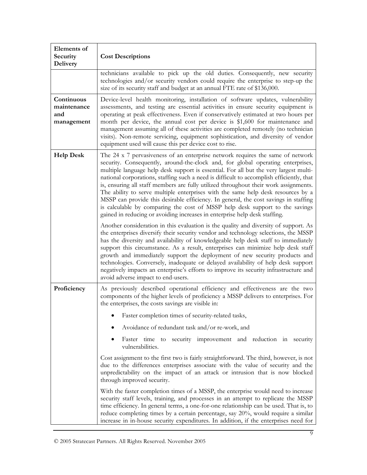| <b>Elements</b> of<br>Security<br><b>Delivery</b> | <b>Cost Descriptions</b>                                                                                                                                                                                                                                                                                                                                                                                                                                                                                                                                                                                                                                                                                                                                                                 |  |  |  |
|---------------------------------------------------|------------------------------------------------------------------------------------------------------------------------------------------------------------------------------------------------------------------------------------------------------------------------------------------------------------------------------------------------------------------------------------------------------------------------------------------------------------------------------------------------------------------------------------------------------------------------------------------------------------------------------------------------------------------------------------------------------------------------------------------------------------------------------------------|--|--|--|
|                                                   | technicians available to pick up the old duties. Consequently, new security<br>technologies and/or security vendors could require the enterprise to step-up the<br>size of its security staff and budget at an annual FTE rate of \$136,000.                                                                                                                                                                                                                                                                                                                                                                                                                                                                                                                                             |  |  |  |
| Continuous<br>maintenance<br>and<br>management    | Device-level health monitoring, installation of software updates, vulnerability<br>assessments, and testing are essential activities in ensure security equipment is<br>operating at peak effectiveness. Even if conservatively estimated at two hours per<br>month per device, the annual cost per device is \$1,600 for maintenance and<br>management assuming all of these activities are completed remotely (no technician<br>visits). Non-remote servicing, equipment sophistication, and diversity of vendor<br>equipment used will cause this per device cost to rise.                                                                                                                                                                                                            |  |  |  |
| <b>Help Desk</b>                                  | The 24 x 7 pervasiveness of an enterprise network requires the same of network<br>security. Consequently, around-the-clock and, for global operating enterprises,<br>multiple language help desk support is essential. For all but the very largest multi-<br>national corporations, staffing such a need is difficult to accomplish efficiently, that<br>is, ensuring all staff members are fully utilized throughout their work assignments.<br>The ability to serve multiple enterprises with the same help desk resources by a<br>MSSP can provide this desirable efficiency. In general, the cost savings in staffing<br>is calculable by comparing the cost of MSSP help desk support to the savings<br>gained in reducing or avoiding increases in enterprise help desk staffing. |  |  |  |
|                                                   | Another consideration in this evaluation is the quality and diversity of support. As<br>the enterprises diversify their security vendor and technology selections, the MSSP<br>has the diversity and availability of knowledgeable help desk staff to immediately<br>support this circumstance. As a result, enterprises can minimize help desk staff<br>growth and immediately support the deployment of new security products and<br>technologies. Conversely, inadequate or delayed availability of help desk support<br>negatively impacts an enterprise's efforts to improve its security infrastructure and<br>avoid adverse impact to end-users.                                                                                                                                  |  |  |  |
| Proficiency                                       | As previously described operational efficiency and effectiveness are the two<br>components of the higher levels of proficiency a MSSP delivers to enterprises. For<br>the enterprises, the costs savings are visible in:                                                                                                                                                                                                                                                                                                                                                                                                                                                                                                                                                                 |  |  |  |
|                                                   | Faster completion times of security-related tasks,                                                                                                                                                                                                                                                                                                                                                                                                                                                                                                                                                                                                                                                                                                                                       |  |  |  |
|                                                   | Avoidance of redundant task and/or re-work, and                                                                                                                                                                                                                                                                                                                                                                                                                                                                                                                                                                                                                                                                                                                                          |  |  |  |
|                                                   | Faster time to<br>security improvement and reduction in security<br>vulnerabilities.                                                                                                                                                                                                                                                                                                                                                                                                                                                                                                                                                                                                                                                                                                     |  |  |  |
|                                                   | Cost assignment to the first two is fairly straightforward. The third, however, is not<br>due to the differences enterprises associate with the value of security and the<br>unpredictability on the impact of an attack or intrusion that is now blocked<br>through improved security.                                                                                                                                                                                                                                                                                                                                                                                                                                                                                                  |  |  |  |
|                                                   | With the faster completion times of a MSSP, the enterprise would need to increase<br>security staff levels, training, and processes in an attempt to replicate the MSSP<br>time efficiency. In general terms, a one-for-one relationship can be used. That is, to<br>reduce completing times by a certain percentage, say 20%, would require a similar<br>increase in in-house security expenditures. In addition, if the enterprises need for                                                                                                                                                                                                                                                                                                                                           |  |  |  |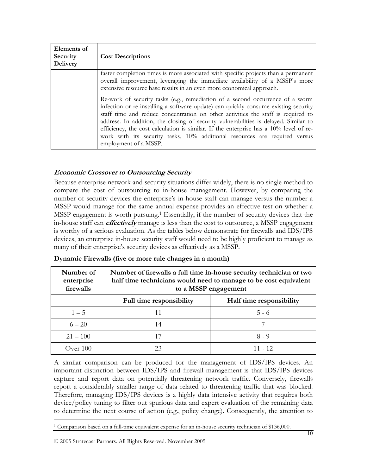| Elements of<br>Security<br>Delivery | <b>Cost Descriptions</b>                                                                                                                                                                                                                                                                                                                                                                                                                                                                                                                         |
|-------------------------------------|--------------------------------------------------------------------------------------------------------------------------------------------------------------------------------------------------------------------------------------------------------------------------------------------------------------------------------------------------------------------------------------------------------------------------------------------------------------------------------------------------------------------------------------------------|
|                                     | faster completion times is more associated with specific projects than a permanent<br>overall improvement, leveraging the immediate availability of a MSSP's more<br>extensive resource base results in an even more economical approach.                                                                                                                                                                                                                                                                                                        |
|                                     | Re-work of security tasks (e.g., remediation of a second occurrence of a worm<br>infection or re-installing a software update) can quickly consume existing security<br>staff time and reduce concentration on other activities the staff is required to<br>address. In addition, the closing of security vulnerabilities is delayed. Similar to<br>efficiency, the cost calculation is similar. If the enterprise has a 10% level of re-<br>work with its security tasks, 10% additional resources are required versus<br>employment of a MSSP. |

## **Economic Crossover to Outsourcing Security**

Because enterprise network and security situations differ widely, there is no single method to compare the cost of outsourcing to in-house management. However, by comparing the number of security devices the enterprise's in-house staff can manage versus the number a MSSP would manage for the same annual expense provides an effective test on whether a MSSP engagement is worth pursuing.<sup>1</sup> Essentially, if the number of security devices that the in-house staff can **effectively** manage is less than the cost to outsource, a MSSP engagement is worthy of a serious evaluation. As the tables below demonstrate for firewalls and IDS/IPS devices, an enterprise in-house security staff would need to be highly proficient to manage as many of their enterprise's security devices as effectively as a MSSP.

| Number of<br>enterprise<br>firewalls | Number of firewalls a full time in-house security technician or two<br>half time technicians would need to manage to be cost equivalent<br>to a MSSP engagement |                          |
|--------------------------------------|-----------------------------------------------------------------------------------------------------------------------------------------------------------------|--------------------------|
|                                      | Full time responsibility                                                                                                                                        | Half time responsibility |
| $1 - 5$                              | 11                                                                                                                                                              | $5 - 6$                  |
| $6 - 20$                             | 14                                                                                                                                                              |                          |
| $21 - 100$                           | 17                                                                                                                                                              | $8 - 9$                  |
| Over 100                             | 23                                                                                                                                                              | 11 - 12                  |

**Dynamic Firewalls (five or more rule changes in a month)** 

A similar comparison can be produced for the management of IDS/IPS devices. An important distinction between IDS/IPS and firewall management is that IDS/IPS devices capture and report data on potentially threatening network traffic. Conversely, firewalls report a considerably smaller range of data related to threatening traffic that was blocked. Therefore, managing IDS/IPS devices is a highly data intensive activity that requires both device/policy tuning to filter out spurious data and expert evaluation of the remaining data to determine the next course of action (e.g., policy change). Consequently, the attention to

<span id="page-9-0"></span> $\overline{a}$ 1 Comparison based on a full-time equivalent expense for an in-house security technician of \$136,000.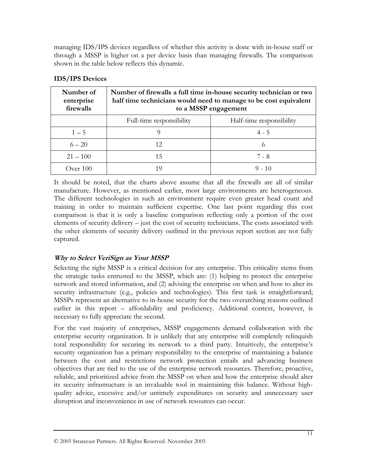managing IDS/IPS devices regardless of whether this activity is done with in-house staff or through a MSSP is higher on a per device basis than managing firewalls. The comparison shown in the table below reflects this dynamic.

| Number of<br>enterprise<br>firewalls | Number of firewalls a full time in-house security technician or two<br>half time technicians would need to manage to be cost equivalent<br>to a MSSP engagement |                          |
|--------------------------------------|-----------------------------------------------------------------------------------------------------------------------------------------------------------------|--------------------------|
|                                      | Full-time responsibility                                                                                                                                        | Half-time responsibility |
| $1 - 5$                              | O)                                                                                                                                                              | $4 - 5$                  |
| $6 - 20$                             | 12                                                                                                                                                              | $^{(1)}$                 |
| $21 - 100$                           | 15                                                                                                                                                              | 7 - 8                    |
| Over 100                             |                                                                                                                                                                 | $9 - 10$                 |

## **IDS/IPS Devices**

It should be noted, that the charts above assume that all the firewalls are all of similar manufacture. However, as mentioned earlier, most large environments are heterogeneous. The different technologies in such an environment require even greater head count and training in order to maintain sufficient expertise. One last point regarding this cost comparison is that it is only a baseline comparison reflecting only a portion of the cost elements of security delivery – just the cost of security technicians. The costs associated with the other elements of security delivery outlined in the previous report section are not fully captured.

## **Why to Select VeriSign as Your MSSP**

Selecting the right MSSP is a critical decision for any enterprise. This criticality stems from the strategic tasks entrusted to the MSSP, which are: (1) helping to protect the enterprise network and stored information, and (2) advising the enterprise on when and how to alter its security infrastructure (e.g., policies and technologies). This first task is straightforward; MSSPs represent an alternative to in-house security for the two overarching reasons outlined earlier in this report – affordability and proficiency. Additional context, however, is necessary to fully appreciate the second.

For the vast majority of enterprises, MSSP engagements demand collaboration with the enterprise security organization. It is unlikely that any enterprise will completely relinquish total responsibility for securing its network to a third party. Intuitively, the enterprise's security organization has a primary responsibility to the enterprise of maintaining a balance between the cost and restrictions network protection entails and advancing business objectives that are tied to the use of the enterprise network resources. Therefore, proactive, reliable, and prioritized advice from the MSSP on when and how the enterprise should alter its security infrastructure is an invaluable tool in maintaining this balance. Without highquality advice, excessive and/or untimely expenditures on security and unnecessary user disruption and inconvenience in use of network resources can occur.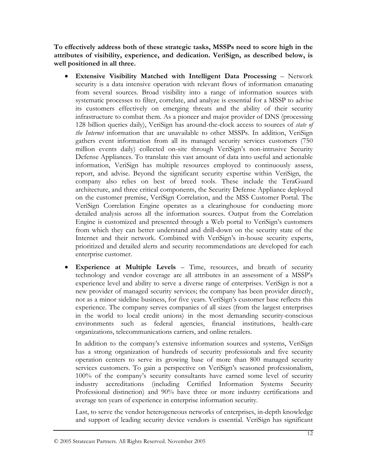**To effectively address both of these strategic tasks, MSSPs need to score high in the attributes of visibility, experience, and dedication. VeriSign, as described below, is well positioned in all three.** 

- **Extensive Visibility Matched with Intelligent Data Processing** Network security is a data intensive operation with relevant flows of information emanating from several sources. Broad visibility into a range of information sources with systematic processes to filter, correlate, and analyze is essential for a MSSP to advise its customers effectively on emerging threats and the ability of their security infrastructure to combat them. As a pioneer and major provider of DNS (processing 128 billion queries daily), VeriSign has around-the-clock access to sources of *state of the Internet* information that are unavailable to other MSSPs. In addition, VeriSign gathers event information from all its managed security services customers (750 million events daily) collected on-site through VeriSign's non-intrusive Security Defense Appliances. To translate this vast amount of data into useful and actionable information, VeriSign has multiple resources employed to continuously assess, report, and advise. Beyond the significant security expertise within VeriSign, the company also relies on best of breed tools. These include the TeraGuard architecture, and three critical components, the Security Defense Appliance deployed on the customer premise, VeriSign Correlation, and the MSS Customer Portal. The VeriSign Correlation Engine operates as a clearinghouse for conducting more detailed analysis across all the information sources. Output from the Correlation Engine is customized and presented through a Web portal to VeriSign's customers from which they can better understand and drill-down on the security state of the Internet and their network. Combined with VeriSign's in-house security experts, prioritized and detailed alerts and security recommendations are developed for each enterprise customer.
- **Experience at Multiple Levels** Time, resources, and breath of security technology and vendor coverage are all attributes in an assessment of a MSSP's experience level and ability to serve a diverse range of enterprises. VeriSign is not a new provider of managed security services; the company has been provider directly, not as a minor sideline business, for five years. VeriSign's customer base reflects this experience. The company serves companies of all sizes (from the largest enterprises in the world to local credit unions) in the most demanding security-conscious environments such as federal agencies, financial institutions, health-care organizations, telecommunications carriers, and online retailers.

In addition to the company's extensive information sources and systems, VeriSign has a strong organization of hundreds of security professionals and five security operation centers to serve its growing base of more than 800 managed security services customers. To gain a perspective on VeriSign's seasoned professionalism, 100% of the company's security consultants have earned some level of security industry accreditations (including Certified Information Systems Security Professional distinction) and 90% have three or more industry certifications and average ten years of experience in enterprise information security.

Last, to serve the vendor heterogeneous networks of enterprises, in-depth knowledge and support of leading security device vendors is essential. VeriSign has significant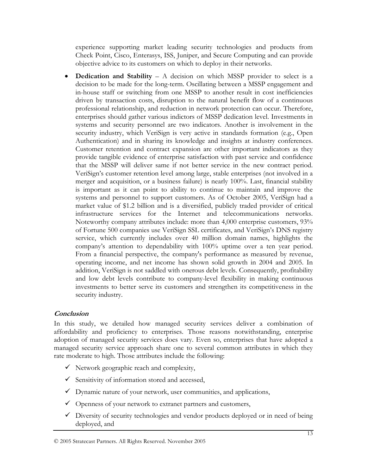experience supporting market leading security technologies and products from Check Point, Cisco, Enterasys, ISS, Juniper, and Secure Computing and can provide objective advice to its customers on which to deploy in their networks.

• **Dedication and Stability** – A decision on which MSSP provider to select is a decision to be made for the long-term. Oscillating between a MSSP engagement and in-house staff or switching from one MSSP to another result in cost inefficiencies driven by transaction costs, disruption to the natural benefit flow of a continuous professional relationship, and reduction in network protection can occur. Therefore, enterprises should gather various indictors of MSSP dedication level. Investments in systems and security personnel are two indicators. Another is involvement in the security industry, which VeriSign is very active in standards formation (e.g., Open Authentication) and in sharing its knowledge and insights at industry conferences. Customer retention and contract expansion are other important indicators as they provide tangible evidence of enterprise satisfaction with past service and confidence that the MSSP will deliver same if not better service in the new contract period. VeriSign's customer retention level among large, stable enterprises (not involved in a merger and acquisition, or a business failure) is nearly 100%. Last, financial stability is important as it can point to ability to continue to maintain and improve the systems and personnel to support customers. As of October 2005, VeriSign had a market value of \$1.2 billion and is a diversified, publicly traded provider of critical infrastructure services for the Internet and telecommunications networks. Noteworthy company attributes include: more than 4,000 enterprise customers, 93% of Fortune 500 companies use VeriSign SSL certificates, and VeriSign's DNS registry service, which currently includes over 40 million domain names, highlights the company's attention to dependability with 100% uptime over a ten year period. From a financial perspective, the company's performance as measured by revenue, operating income, and net income has shown solid growth in 2004 and 2005. In addition, VeriSign is not saddled with onerous debt levels. Consequently, profitability and low debt levels contribute to company-level flexibility in making continuous investments to better serve its customers and strengthen its competitiveness in the security industry.

## **Conclusion**

In this study, we detailed how managed security services deliver a combination of affordability and proficiency to enterprises. Those reasons notwithstanding, enterprise adoption of managed security services does vary. Even so, enterprises that have adopted a managed security service approach share one to several common attributes in which they rate moderate to high. Those attributes include the following:

- $\checkmark$  Network geographic reach and complexity,
- $\checkmark$  Sensitivity of information stored and accessed,
- $\checkmark$  Dynamic nature of your network, user communities, and applications,
- $\checkmark$  Openness of your network to extranet partners and customers,
- $\checkmark$  Diversity of security technologies and vendor products deployed or in need of being deployed, and